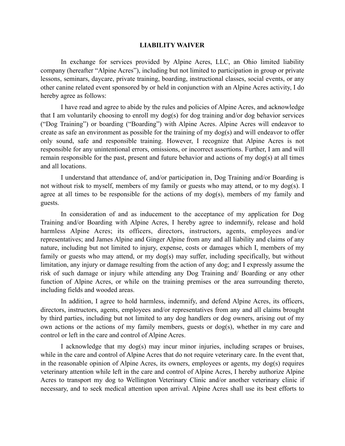## **LIABILITY WAIVER**

 In exchange for services provided by Alpine Acres, LLC, an Ohio limited liability company (hereafter "Alpine Acres"), including but not limited to participation in group or private lessons, seminars, daycare, private training, boarding, instructional classes, social events, or any other canine related event sponsored by or held in conjunction with an Alpine Acres activity, I do hereby agree as follows:

 I have read and agree to abide by the rules and policies of Alpine Acres, and acknowledge that I am voluntarily choosing to enroll my dog(s) for dog training and/or dog behavior services ("Dog Training") or boarding ("Boarding") with Alpine Acres. Alpine Acres will endeavor to create as safe an environment as possible for the training of my dog(s) and will endeavor to offer only sound, safe and responsible training. However, I recognize that Alpine Acres is not responsible for any unintentional errors, omissions, or incorrect assertions. Further, I am and will remain responsible for the past, present and future behavior and actions of my dog(s) at all times and all locations.

 I understand that attendance of, and/or participation in, Dog Training and/or Boarding is not without risk to myself, members of my family or guests who may attend, or to my dog(s). I agree at all times to be responsible for the actions of my dog(s), members of my family and guests.

 In consideration of and as inducement to the acceptance of my application for Dog Training and/or Boarding with Alpine Acres, I hereby agree to indemnify, release and hold harmless Alpine Acres; its officers, directors, instructors, agents, employees and/or representatives; and James Alpine and Ginger Alpine from any and all liability and claims of any nature, including but not limited to injury, expense, costs or damages which I, members of my family or guests who may attend, or my dog(s) may suffer, including specifically, but without limitation, any injury or damage resulting from the action of any dog; and I expressly assume the risk of such damage or injury while attending any Dog Training and/ Boarding or any other function of Alpine Acres, or while on the training premises or the area surrounding thereto, including fields and wooded areas.

 In addition, I agree to hold harmless, indemnify, and defend Alpine Acres, its officers, directors, instructors, agents, employees and/or representatives from any and all claims brought by third parties, including but not limited to any dog handlers or dog owners, arising out of my own actions or the actions of my family members, guests or dog(s), whether in my care and control or left in the care and control of Alpine Acres.

 I acknowledge that my dog(s) may incur minor injuries, including scrapes or bruises, while in the care and control of Alpine Acres that do not require veterinary care. In the event that, in the reasonable opinion of Alpine Acres, its owners, employees or agents, my dog(s) requires veterinary attention while left in the care and control of Alpine Acres, I hereby authorize Alpine Acres to transport my dog to Wellington Veterinary Clinic and/or another veterinary clinic if necessary, and to seek medical attention upon arrival. Alpine Acres shall use its best efforts to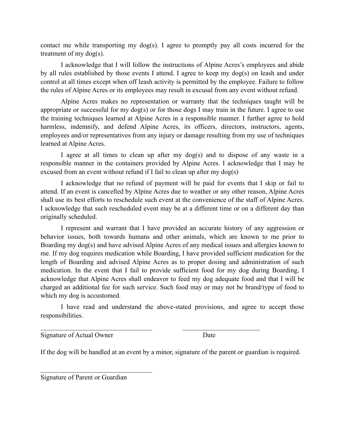contact me while transporting my dog(s). I agree to promptly pay all costs incurred for the treatment of my dog(s).

 I acknowledge that I will follow the instructions of Alpine Acres's employees and abide by all rules established by those events I attend. I agree to keep my dog(s) on leash and under control at all times except when off leash activity is permitted by the employee. Failure to follow the rules of Alpine Acres or its employees may result in excusal from any event without refund.

 Alpine Acres makes no representation or warranty that the techniques taught will be appropriate or successful for my dog(s) or for those dogs I may train in the future. I agree to use the training techniques learned at Alpine Acres in a responsible manner. I further agree to hold harmless, indemnify, and defend Alpine Acres, its officers, directors, instructors, agents, employees and/or representatives from any injury or damage resulting from my use of techniques learned at Alpine Acres.

 I agree at all times to clean up after my dog(s) and to dispose of any waste in a responsible manner in the containers provided by Alpine Acres. I acknowledge that I may be excused from an event without refund if I fail to clean up after my dog(s)

 I acknowledge that no refund of payment will be paid for events that I skip or fail to attend. If an event is cancelled by Alpine Acres due to weather or any other reason, Alpine Acres shall use its best efforts to reschedule such event at the convenience of the staff of Alpine Acres. I acknowledge that such rescheduled event may be at a different time or on a different day than originally scheduled.

 I represent and warrant that I have provided an accurate history of any aggression or behavior issues, both towards humans and other animals, which are known to me prior to Boarding my dog(s) and have advised Alpine Acres of any medical issues and allergies known to me. If my dog requires medication while Boarding, I have provided sufficient medication for the length of Boarding and advised Alpine Acres as to proper dosing and administration of such medication. In the event that I fail to provide sufficient food for my dog during Boarding, I acknowledge that Alpine Acres shall endeavor to feed my dog adequate food and that I will be charged an additional fee for such service. Such food may or may not be brand/type of food to which my dog is accustomed.

 I have read and understand the above-stated provisions, and agree to accept those responsibilities.

 $\mathcal{L}_\text{max}$  , and the contribution of the contribution of  $\mathcal{L}_\text{max}$ 

Signature of Actual Owner Date

If the dog will be handled at an event by a minor, signature of the parent or guardian is required.

Signature of Parent or Guardian

 $\mathcal{L}_\text{max}$  , where  $\mathcal{L}_\text{max}$  and  $\mathcal{L}_\text{max}$  and  $\mathcal{L}_\text{max}$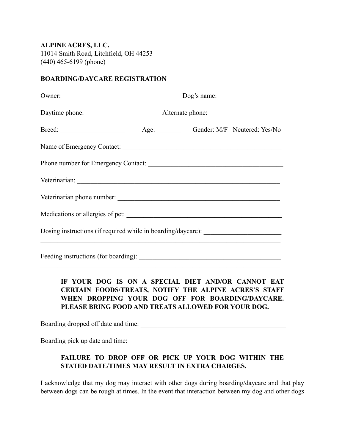**ALPINE ACRES, LLC.**  11014 Smith Road, Litchfield, OH 44253 (440) 465-6199 (phone)

## **BOARDING/DAYCARE REGISTRATION**

| Owner:                                                                           |  |
|----------------------------------------------------------------------------------|--|
|                                                                                  |  |
|                                                                                  |  |
| Name of Emergency Contact:                                                       |  |
|                                                                                  |  |
|                                                                                  |  |
| Veterinarian phone number:                                                       |  |
| Medications or allergies of pet:                                                 |  |
| Dosing instructions (if required while in boarding/daycare): ___________________ |  |
|                                                                                  |  |

**IF YOUR DOG IS ON A SPECIAL DIET AND/OR CANNOT EAT CERTAIN FOODS/TREATS, NOTIFY THE ALPINE ACRES'S STAFF WHEN DROPPING YOUR DOG OFF FOR BOARDING/DAYCARE. PLEASE BRING FOOD AND TREATS ALLOWED FOR YOUR DOG.** 

Boarding dropped off date and time: \_\_\_\_\_\_\_\_\_\_\_\_\_\_\_\_\_\_\_\_\_\_\_\_\_\_\_\_\_\_\_\_\_\_\_\_\_\_\_\_\_\_\_

 $\mathcal{L}_\text{max}$  , and the contribution of the contribution of the contribution of the contribution of the contribution of the contribution of the contribution of the contribution of the contribution of the contribution of t

Boarding pick up date and time:

## **FAILURE TO DROP OFF OR PICK UP YOUR DOG WITHIN THE STATED DATE/TIMES MAY RESULT IN EXTRA CHARGES.**

I acknowledge that my dog may interact with other dogs during boarding/daycare and that play between dogs can be rough at times. In the event that interaction between my dog and other dogs